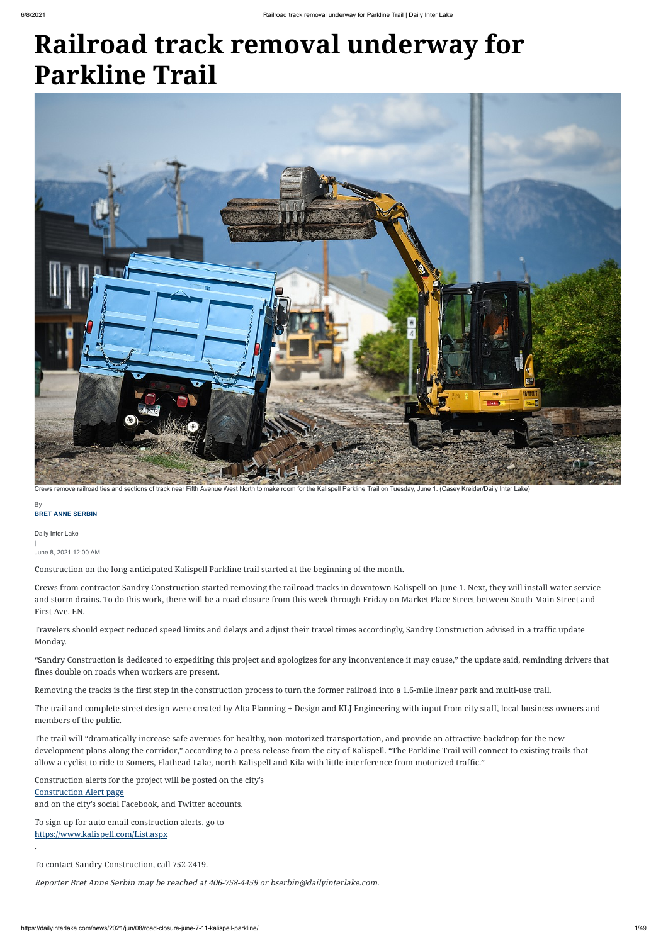### **BRET ANNE SERBIN By**

# **Railroad track removal underway for Parkline Trail**

Daily Inter Lake | June 8, 2021 12:00 AM

Construction on the long-anticipated Kalispell Parkline trail started at the beginning of the month.

Crews from contractor Sandry Construction started removing the railroad tracks in downtown Kalispell on June 1. Next, they will install water service and storm drains. To do this work, there will be a road closure from this week through Friday on Market Place Street between South Main Street and First Ave. EN.

Travelers should expect reduced speed limits and delays and adjust their travel times accordingly, Sandry Construction advised in a traffic update Monday.

"Sandry Construction is dedicated to expediting this project and apologizes for any inconvenience it may cause," the update said, reminding drivers that fines double on roads when workers are present.

Removing the tracks is the first step in the construction process to turn the former railroad into a 1.6-mile linear park and multi-use trail.

The trail and complete street design were created by Alta Planning + Design and KLJ Engineering with input from city staff, local business owners and

members of the public.

The trail will "dramatically increase safe avenues for healthy, non-motorized transportation, and provide an attractive backdrop for the new development plans along the corridor," according to a press release from the city of Kalispell. "The Parkline Trail will connect to existing trails that allow a cyclist to ride to Somers, Flathead Lake, north Kalispell and Kila with little interference from motorized traffic."

Construction alerts for the project will be posted on the city's

## [Construction Alert page](https://www.kalispell.com/AlertCenter.aspx)

and on the city's social Facebook, and Twitter accounts.

To sign up for auto email construction alerts, go to <https://www.kalispell.com/List.aspx>

.

To contact Sandry Construction, call 752-2419.

Reporter Bret Anne Serbin may be reached at 406-758-4459 or bserbin@dailyinterlake.com.



Crews remove railroad ties and sections of track near Fifth Avenue West North to make room for the Kalispell Parkline Trail on Tuesday, June 1. (Casey Kreider/Daily Inter Lake)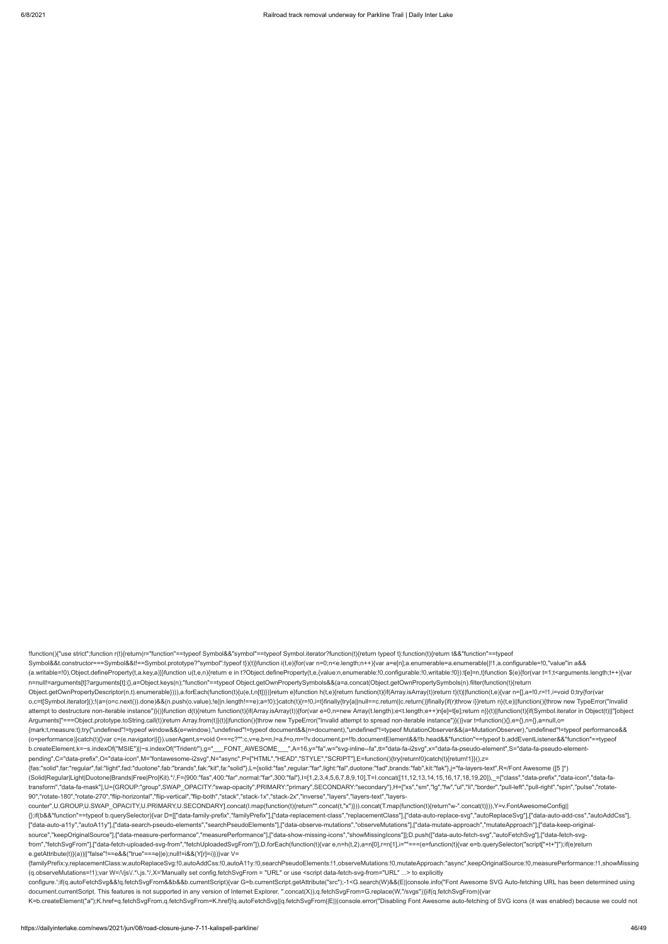!function(){"use strict";function r(t){return(r="function"==typeof Symbol&&"symbol"==typeof Symbol.iterator?function(t){return typeof t}:function(t){return t&&"function"==typeof Symbol&&t.constructor===Symbol&&t!==Symbol.prototype?"symbol":typeof t})(t)}function i(t,e){for(var n=0;n<e.length;n++){var a=e[n];a.enumerable=a.enumerable||!1,a.configurable=!0,"value"in a&& (a.writable=!0),Object.defineProperty(t,a.key,a)}}function u(t,e,n){return e in t?Object.defineProperty(t,e,{value:n,enumerable:!0,configurable:!0,writable:!0}):t[e]=n,t}function \$(e){for(var t=1;t<arguments.length;t++){var n=null!=arguments[t]?arguments[t]:{},a=Object.keys(n);"function"==typeof Object.getOwnPropertySymbols&&(a=a.concat(Object.getOwnPropertySymbols(n).filter(function(t){return Object.getOwnPropertyDescriptor(n,t).enumerable}))),a.forEach(function(t){u(e,t,n[t])})}return e}function h(t,e){return function(t){if(Array.isArray(t))return t}(t)||function(t,e){var n=[],a=!0,r=!1,i=void 0;try{for(var o,c=t[Symbol.iterator]();!(a=(o=c.next()).done)&&(n.push(o.value),!e||n.length!==e);a=!0);}catch(t){r=!0,i=t}finally{try{a||null==c.return||c.return()}finally{if(r)throw i}}return n}(t,e)||function(){throw new TypeError("I attempt to destructure non-iterable instance")}()}function d(t){return function(t){if(Array.isArray(t)}{for(var e=0,n=new Array(t.length);e<t.length;e++)n[e]=t[e];return n}}(t)|[function(t){if(Symbol.iterator in Object(t)| Arguments]"===Object.prototype.toString.call(t))return Array.from(t)}(t)||function(){throw new TypeError("Invalid attempt to spread non-iterable instance")}()}var t=function(){},e={},n={},a=null,o= {mark:t,measure:t};try{"undefined"!=typeof window&&(e=window),"undefined"!=typeof document&&(n=document),"undefined"!=typeof MutationObserver&&(a=MutationObserver),"undefined"!=typeof performance&& (o=performance)}catch(t){}var c=(e.navigator||{}).userAgent,s=void 0===c?"":c,v=e,b=n,l=a,f=o,m=!!v.document,p=!!b.documentElement&&!!b.head&&"function"==typeof b.addEventListener&&"function"==typeof b.createElement,k=~s.indexOf("MSIE")||~s.indexOf("Trident/"),g="\_\_\_FONT\_AWESOME\_\_\_",A=16,y="fa",w="svg-inline--fa",tt="data-fa-i2svg",x="data-fa-pseudo-element",S="data-fa-pseudo-elementpending",C="data-prefix",O="data-icon",M="fontawesome-i2svg",N="async",P=["HTML","HEAD","STYLE","SCRIPT"],E=function(){try{return!0}catch(t){return!1}}(),z= {fas:"solid",far:"regular",fal:"light",fad:"duotone",fab:"brands",fak:"kit",fa:"solid"},L={solid:"fas",regular:"far",light:"fal",duotone:"fad",brands:"fab",kit:"fak"},j="fa-layers-text",R=/Font Awesome ([5 ]\*) (Solid|Regular|Light|Duotone|Brands|Free|Pro|Kit).\*/,F={900:"fas",400:"far",normal:"far",300:"fal"},I=[1,2,3,4,5,6,7,8,9,10],T=I.concat([11,12,13,14,15,16,17,18,19,20]),\_=["class","data-prefix","data-icon","data-fa-

transform","data-fa-mask"],U={GROUP:"group",SWAP\_OPACITY:"swap-opacity",PRIMARY:"primary",SECONDARY:"secondary"},H=["xs","sm","lg","fw","ul","li","border","pull-left","pull-right","spin","pulse","rotate-90","rotate-180","rotate-270","flip-horizontal","flip-vertical","flip-both","stack","stack-1x","stack-2x","inverse","layers","layers-text","layers-

counter",U.GROUP,U.SWAP\_OPACITY,U.PRIMARY,U.SECONDARY].concat(I.map(function(t){return"".concat(t,"x")})).concat(T.map(function(t){return"w-".concat(t)})),Y=v.FontAwesomeConfig|| {};if(b&&"function"==typeof b.querySelector){var D=[["data-family-prefix","familyPrefix"],["data-replacement-class","replacementClass"],["data-auto-replace-svg","autoReplaceSvg"],["data-auto-add-css","autoAddCss"], ["data-auto-a11y","autoA11y"],["data-search-pseudo-elements","searchPseudoElements"],["data-observe-mutations","observeMutations"],["data-mutate-approach","mutateApproach"],["data-keep-originalsource","keepOriginalSource"],["data-measure-performance","measurePerformance"],["data-show-missing-icons","showMissingIcons"]];D.push(["data-auto-fetch-svg","autoFetchSvg"],["data-fetch-svgfrom","fetchSvgFrom"],["data-fetch-uploaded-svg-from","fetchUploadedSvgFrom"]),D.forEach(function(t){var e,n=h(t,2),a=n[0],r=n[1],i=""===(e=function(t){var e=b.querySelector("script["+t+"]");if(e)return e.getAttribute(t)}(a))||"false"!==e&&("true"===e||e);null!=i&&(Y[r]=i)})}var V=

{familyPrefix:y,replacementClass:w,autoReplaceSvg:!0,autoAddCss:!0,autoA11y:!0,searchPseudoElements:!1,observeMutations:!0,mutateApproach:"async",keepOriginalSource:!0,measurePerformance:!1,showMissing (q.observeMutations=!1);var W=/\/js\/.\*\.js.\*/,X='Manually set config.fetchSvgFrom = "URL" or use <script data-fetch-svg-from="URL" ...> to explicitly

configure.';if(q.autoFetchSvg&&!q.fetchSvgFrom&&b&&b.currentScript){var G=b.currentScript.getAttribute("src");-1<G.search(W)&&(E||console.info("Font Awesome SVG Auto-fetching URL has been determined using document.currentScript. This features is not supported in any version of Internet Explorer. ".concat(X)),q.fetchSvgFrom=G.replace(W,"/svgs"))}if(q.fetchSvgFrom){var

K=b.createElement("a");K.href=q.fetchSvgFrom,q.fetchSvgFrom=K.href}!q.autoFetchSvg||q.fetchSvgFrom||E||(console.error("Disabling Font Awesome auto-fetching of SVG icons (it was enabled) because we could not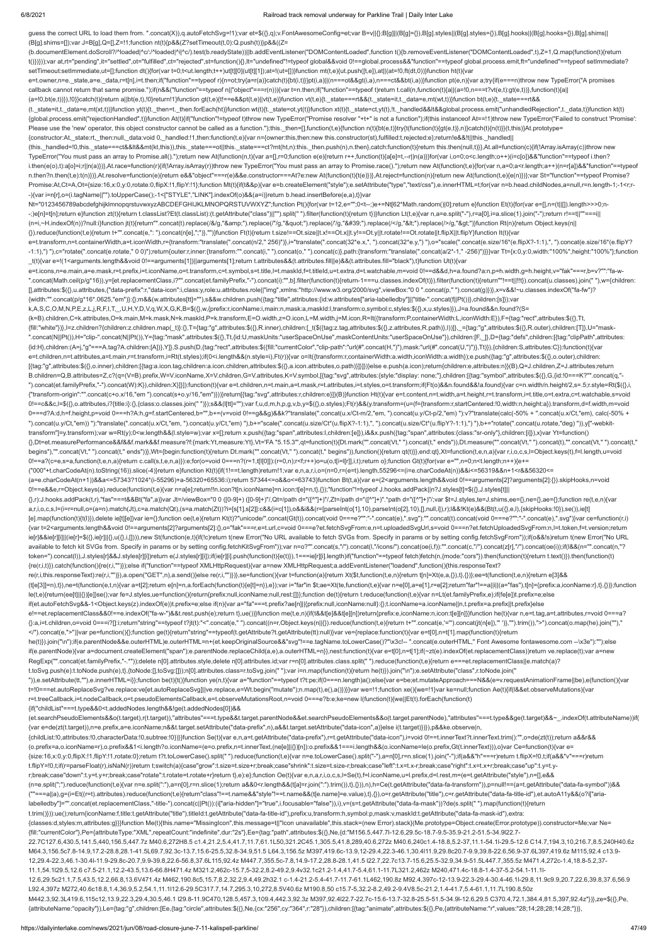guess the correct URL to load them from. ".concat(X)),q.autoFetchSvg=!1);var et=\$({},q);v.FontAwesomeConfig=et;var B=v||{};B[g]||(B[g]={}),B[g].styles||(B[g].styles={}),B[g].hooks||(B[g].hooks={}),B[g].shims|| (B[g].shims=[]);var J=B[g],Q=[],Z=!1;function nt(t){p&&(Z?setTimeout(t,0):Q.push(t))}p&&((Z= (b.documentElement.doScroll?/^loaded|^c/:/^loaded|^i|^c/).test(b.readyState))||b.addEventListener("DOMContentLoaded",function t(){b.removeEventListener("DOMContentLoaded",t),Z=1,Q.map(function(t){return t()})}));var at,rt="pending",it="settled",ot="fulfilled",ct="rejected",st=function(){},lt="undefined"!=typeof global&&void 0!==global.process&&"function"==typeof global.process.emit,ft="undefined"==typeof setImmediate? setTimeout:setImmediate,ut=[];function dt(){for(var t=0;t<ut.length;t++)ut[t][0](ut[t][1]);at=!(ut=[])}function mt(t,e){ut.push([t,e]),at||(at=!0,ft(dt,0))}function ht(t){var e=t.owner,n=e.\_state,a=e.\_data,r=t[n],i=t.then;if("function"==typeof r){n=ot;try{a=r(a)}catch(t){bt(i,t)}}pt(i,a))|(n===ot&&pt(i,a),n===ct&&bt(i,a))}function pt(e,n){var a;try{if(e===n)throw new TypeError("A promises callback cannot return that same promise.");if(n&&("function"==typeof n||"object"===r(n))){var t=n.then;if("function"==typeof t)return t.call(n,function(t){a||(a=!0,n===t?vt(e,t):gt(e,t))},function(t){a|| (a=!0,bt(e,t))}),!0}}catch(t){return a||bt(e,t),!0}return!1}function gt(t,e){t!==e&&pt(t,e)||vt(t,e)}function vt(t,e){t.\_state===rt&&(t.\_state=it,t.\_data=e,mt(wt,t))}function bt(t,e){t.\_state===rt&& (t.\_state=it,t.\_data=e,mt(xt,t))}function yt(t){t.\_then=t.\_then.forEach(ht)}function wt(t){t.\_state=ot,yt(t)}function xt(t){t.\_state=ct,yt(t),lt.\_handled&&It&&global.process.emit("unhandledRejection",t.\_data,t)}function kt {global.process.emit("rejectionHandled",t)}function At(t){if("function"!=typeof t)throw new TypeError("Promise resolver "+t+" is not a function");if(this instanceof At==!1)throw new TypeError("Failed to construct 'Promise': Please use the 'new' operator, this object constructor cannot be called as a function.");this.\_then=[],function(t,e){function n(t){bt(e,t)}try{t(function(t){gt(e,t)},n)}catch(t){n(t)}}(t,this)}At.prototype= {constructor:At,\_state:rt,\_then:null,\_data:void 0,\_handled:!1,then:function(t,e){var n={owner:this,then:new this.constructor(st),fulfilled:t,rejected:e};return!e&&!t||this.\_handled|| (this.\_handled=!0,this.\_state===ct&&lt&&mt(kt,this)),this.\_state===ot||this.\_state===ct?mt(ht,n):this.\_then.push(n),n.then},catch:function(t){return this.then(null,t)}},At.all=function(c){if(!Array.isArray(c))throw new TypeError("You must pass an array to Promise.all().");return new At(function(n,t){var a=[],r=0;function e(e){return r++,function(t){a[e]=t,--r||n(a)}}for(var i,o=0;o<c.length;o++)(i=c[o])&&"function"==typeof i.then? i.then(e(o),t):a[o]=i;r||n(a)})},At.race=function(r){if(!Array.isArray(r))throw new TypeError("You must pass an array to Promise.race().");return new At(function(t,e){for(var n,a=0;a<r.length;a++)(n=r[a])&&"function"==type n.then?n.then(t,e):t(n)})},At.resolve=function(e){return e&&"object"===r(e)&&e.constructor===At?e:new At(function(t){t(e)})},At.reject=function(n){return new At(function(t,e){e(n)})};var St="function"==typeof Promise? Promise:At,Ct=A,Ot={size:16,x:0,y:0,rotate:0,flipX:!1,flipY:!1};function Mt(t){if(t&&p){var e=b.createElement("style");e.setAttribute("type","text/css"),e.innerHTML=t;for(var n=b.head.childNodes,a=null,r=n.length-1;-1<r;r- -){var i=n[r],o=(i.tagName||"").toUpperCase();-1<["STYLE","LINK"].indexOf(o)&&(a=i)}return b.head.insertBefore(e,a),t}}var Nt="0123456789abcdefghijklmnopqrstuvwxyzABCDEFGHIJKLMNOPQRSTUVWXYZ";function Pt(){for(var t=12,e="";0<t--;)e+=Nt[62\*Math.random()|0];return e}function Et(t){for(var e=[],n=(t||[]).length>>>0;n- -;)e[n]=t[n];return e}function zt(t){return t.classList?Et(t.classList):(t.getAttribute("class")||"").split(" ").filter(function(t){return t)}}function Lt(t,e){var n,a=e.split("-"),r=a[0],i=a.slice(1).join("-");return r!== (n=i,~H.indexOf(n))?null:i}function jt(t){return"".concat(t).replace(/&/g,"&").replace(/"/g,""").replace(/'/g,"'").replace(/</g,"&lt;").replace(/>/g,"&dt;"}}function Rt(n){return Object.keys(n|| {}).reduce(function(t,e){return t+"".concat(e,": ").concat(n[e],";")},"")}function Ft(t){return t.size!==Ot.size||t.x!==Ot.x||t.y!==Ot.y||t.rotate!==Ot.rotate||t.flipX||t.flipY}function It(t){var e=t.transform,n=t.containerWidth,a=t.iconWidth,r={transform:"translate(".concat(n/2," 256)")},i="translate(".concat(32\*e.x,", ").concat(32\*e.y,") "),o="scale(".concat(e.size/16\*(e.flipX?-1:1),", ").concat(e.size/16\*(e.flipY? -1:1),") "),c="rotate(".concat(e.rotate," 0 0)");return{outer:r,inner:{transform:"".concat(i," ").concat(o," ").concat(c)},path:{transform:"transform:"translate(".concat(a/2\*-1,"-256)")}}}var Tt={x:0,y:0,width:"100%",heigh \_t(t){var e=!(1<arguments.length&&void 0!==arguments[1])||arguments[1];return t.attributes&&(t.attributes.fill||e)&&(t.attributes.fill="black"),t}function Ut(t){var e=t.icons,n=e.main,a=e.mask,r=t.prefix,i=t.iconName,o=t.transform,c=t.symbol,s=t.title,l=t.maskId,f=t.titleId,u=t.extra,d=t.watchable,m=void 0!==d&&d,h=a.found?a:n,p=h.width,g=h.height,v="fak"===r,b=v?"":"fa-w- ".concat(Math.ceil(p/g\*16)),y=[et.replacementClass,i?"".concat(et.familyPrefix,"-").concat(i):"",b].filter(function(t){return-1===u.classes.indexOf(t)}).filter(function(t){return"!==t|!!!!}).concat(u.classes).join(""),w={c [],attributes:\$({},u.attributes,{"data-prefix":r,"data-icon":i,class:y,role:u.attributes.role||"img",xmlns:"http://www.w3.org/2000/svg",viewBox:"0 0 ".concat(p," ").concat(g)})},x=v&&!~u.classes.indexOf("fa-fw")? {width:"".concat(p/g\*16\*.0625,"em")}:{};m&&(w.attributes[tt]=""),s&&w.children.push({tag:"title",attributes:{id:w.attributes["aria-labelledby"]||"title-".concat(f||Pt())},children:[s]});var k,A,S,C,O,M,N,P,E,z,L,j,R,F,I,T,\_,U,H,Y,D,V,q,W,X,G,K,B=\$({},w,{prefix:r,iconName:i,main:n,mask:a,maskId:l,transform:o,symbol:c,styles:\$({},x,u.styles)}),J=a.found&&n.found?(S= (k=B).children,C=k.attributes,O=k.main,M=k.mask,N=k.maskId,P=k.transform,E=O.width,z=O.icon,L=M.width,j=M.icon,R=It({transform:P,containerWidth:L,iconWidth:E}),F={tag:"rect",attributes:\$({},Tt, {fill:"white"})},l=z.children?{children:z.children.map(\_t)}:{},T={tag:"g",attributes:\$({},R.inner),children:[\_t(\$({tag:z.tag,attributes:\$({},2.attributes,R.path)},l))]},\_={tag:"g",attributes:\$({},R.outer),children:[T]},U=" ".concat(N||Pt()),H="clip-".concat(N||Pt()),Y={tag:"mask",attributes:\$({},Tt,{id:U,maskUnits:"userSpaceOnUse",maskContentUnits:"userSpaceOnUse"}),children:[F,\_]},D={tag:"defs",children:[{tag:"clipPath",attributes:\$({},Tt,{ {id:H},children:(A=j,"g"===A.tag?A.children:[A])},Y]},S.push(D,{tag:"rect",attributes:\$({fill:"currentColor","clip-path":"url(#".concat(H,")"),mask:"url(#".concat(U,")")},Tt)}),{children:S,attributes:C}):function(t){var e=t.children,n=t.attributes,a=t.main,r=t.transform,i=Rt(t.styles);if(0<i.length&&(n.style=i),Ft(r)){var o=It({transform:r,containerWidth:a.width,iconWidth:a.width});e.push({tag:"g",attributes:\$({},o.outer),children: [{tag:"g",attributes:\$({},o.inner),children:[{tag:a.icon.tag,children:a.icon.children,attributes:\$({},a.icon.attributes,o.path)}]}]})}else e.push(a.icon);return{children:e,attributes:n}}(B),Q=J.children,Z=J.attributes;return B.children=Q,B.attributes=Z,c?(q=(V=B).prefix,W=V.iconName,X=V.children,G=V.attributes,K=V.symbol,[{tag:"svg",attributes:{style:"display: none;"},children:[{tag:"symbol",attributes:\$({},G,{id:!0===K?"".concat(q,"- ").concat(et.familyPrefix,"-").concat(W):K}),children:X}]}]):function(t){var e=t.children,n=t.main,a=t.mask,r=t.attributes,i=t.styles,o=t.transform;if(Ft(o)&&n.found&&!a.found){var c=n.width/n.height/2,s=.5;r.style=Rt(\${{} {"transform-origin":"".concat(c+o.x/16,"em ").concat(s+o.y/16,"em")}))}return[{tag:"svg",attributes:r,children:e}]}(B)}function Ht(t){var e=t.content,n=t.width,a=t.height,r=t.transform,i=t.title,o=t.extra,c=t.watchable,s=v 0!==c&&c,l=\$({},o.attributes,i?{title:i}:{},{class:o.classes.join(" ")});s&&(l[tt]="");var f,u,d,m,h,p,g,v,b,y=\$({},o.styles);Ft(r)&&(y.transform=(u=(f={transform:r,startCentered:!0,width:n,height:a}).transform,d=f.width,m 0===d?A:d,h=f.height,p=void 0===h?A:h,g=f.startCentered,b="",b+=(v=void 0!==g&&g)&&k?"translate(".concat(u.x/Ct-m/2,"em, ").concat(u.y/Ct-p/2,"em) "):v?"translate(calc(-50% + ".concat(u.x/Ct,"em), calc(-50% + ").concat(u.y/Ct,"em)) "):"translate(".concat(u.x/Ct,"em, ").concat(u.y/Ct,"em) "),b+="scale(".concat(u.size/Ct\*(u.flipX?-1:1),", ").concat(u.size/Ct\*(u.flipY?-1:1),") "),b+="rotate(".concat(u.rotate,"deg) ")),y["-webkittransform"]=y.transform);var w=Rt(y);0<w.length&&(l.style=w);var x=[];return x.push({tag:"span",attributes:l,children:[e]}),i&&x.push({tag:"span",attributes:{class:"sr-only"},children:[i]}),x}var Yt=function() {},Dt=et.measurePerformance&&f&&f.mark&&f.measure?f:{mark:Yt,measure:Yt},Vt='FA "5.15.3"',qt=function(t){Dt.mark("".concat(Vt," ").concat(t," ends")),Dt.measure("".concat(Vt," ").concat(t),"".concat(Vt," ").concat(t," begins"),"".concat(Vt," ").concat(t," ends"))},Wt={begin:function(t){return Dt.mark("".concat(Vt," ").concat(t," begins")),function(){return qt(t)}},end:qt},Xt=function(t,e,n,a){var r,i,o,c,s,l=Object.keys(t),f=l.length,u= 0!==a?(c=e,s=a,function(t,e,n,a){return c.call(s,t,e,n,a)}):e;for(o=void 0===n?(r=1,t[l[0]]):(r=0,n);r<f;r++)o=u(o,t[i=l[r]],i,t);return o};function Gt(t){for(var e="",n=0;n<t.length;n++){e+= ("000"+t.charCodeAt(n).toString(16)).slice(-4)}return e}function Kt(t){if(1!==t.length)return!1;var e,n,a,r,i,o=(n=0,r=(e=t).length,55296<=(i=e.charCodeAt(n))&&i<=56319&&n+1<r&&56320<= (a=e.charCodeAt(n+1))&&a<=57343?1024\*(i-55296)+a-56320+65536:i);return 57344<=o&&o<=63743}function Bt(t,a){var e=(2<arguments.length&&void 0!==arguments[2]?arguments[2]:{}).skipHooks,n=void 0!==e&&e,r=Object.keys(a).reduce(function(t,e){var n=a[e];return!!n.icon?t[n.iconName]=n.icon:t[e]=n,t},{});"function"!=typeof J.hooks.addPack||n?J.styles[t]=\$({},J.styles[t]||  $\{1, r\}$ ).hooks.addPack(t,r),"fas"===t&&Bt("fa",a)}var Jt=/viewBox="0 0 ([0-9]+)"(,Qt=/path d="([^"]+)"/,Zt=/path d="([^"]+)".\*path d="([^"]+)"/;var \$t=J.styles,te=J.shims,ee={},ne={},ae={};function re(t,e,n){var (f(e,n) a,r,i,o,c,s,l=(i=r=null,o=(a=n).match(Jt),c=a.match(Qt),(s=a.match(Zt))?i=[s[1],s[2]]:c&&(i=c[1]),o&&i&&(r=[parseInt(o[1],10),parseInt(o[2],10),[],null,i]),r);l&&!Kt(e)&&(Bt(t,u({},e,l),{skipHooks:!0}),se()),ie[t] [e].map(function(t){t(l)}),delete ie[t][e]}var ie={};function oe(t,e){return Kt(t)?"unicode/".concat(Gt(t)).concat(void 0===e?"":"-".concat(e),".svg"):"".concat(t).concat(toid 0===e?"":"-".concat(oid 0===e?"":"-".concat(e) {var t=2<arguments.length&&void 0!==arguments[2]?arguments[2]:{},o="fak"===r,e=t.url,c=void 0===e?et.fetchSvgFrom:e,n=t.uploadedSvgUrl,s=void 0===n?et.fetchUploadedSvgFrom:n,l=t.token,f=t.version;return ie[r]&&ie[r][i]]|(ie[r]=\$({},ie[r]||{},u({},i,[]))),new St(function(e,t){if(!c)return t(new Error("No URL available to fetch SVGs from. Specify in params or by setting config.fetchSvgFrom"));if(o&&!s)return t(new Error("No available to fetch kit SVGs from. Specify in params or by setting config.fetchKitSvgFrom"));var n=o?"".concat(s,"/").concat(l,"/icons/").concat(oe(i,f)):"".concat(c,"/").concat(z[r],"/").concat(oe(i));if(l&&(n="".concat(n, token=").concat(l)),J.styles[r]&&J.styles[r][i])return e(J.styles[r][i]);if(ie[r][i].push(function(t){e(t)}),1===ie[r][i].length)if("function"==typeof fetch)fetch(n,{mode:"cors"}).then(function(t){return t.text()}).then(fu {re(r,i,t)}).catch(function(){re(r,i,"")});else if("function"==typeof XMLHttpRequest){var a=new XMLHttpRequest;a.addEventListener("loadend",function(){this.responseText? re(r,i,this.responseText):re(r,i,"")}),a.open("GET",n),a.send()}else re(r,i,"")})},se=function(){var t=function(a){return Xt(\$t,function(t,e,n){return t[n]=Xt(e,a,{}),t},{})};ee=t(function(t,e,n){return e[3]&& (t[e[3]]=n),t}),ne=t(function(e,t,n){var a=t[2];return e[n]=n,a.forEach(function(t){e[t]=n}),e});var i="far"in \$t;ae=Xt(te,function(t,e){var n=e[0],a=e[1],r=e[2];return"far"!==a||i||(a="fas"),t[n]={prefix:a,iconName:r},t}, le(t,e){return(ee[t]||{})[e]}se();var fe=J.styles,ue=function(){return{prefix:null,iconName:null,rest:[]}};function de(t){return t.reduce(function(t,e){var n=Lt(et.familyPrefix,e);if(fe[e])t.prefix=e;else if(et.autoFetchSvg&&-1<Object.keys(z).indexOf(e))t.prefix=e;else if(n){var a="fa"===t.prefix?ae[n]||{prefix:null,iconName:null}:{};t.iconName=a.iconName||n,t.prefix=a.prefix||t.prefix}else e!==et.replacementClass&&0!==e.indexOf("fa-w-")&&t.rest.push(e);return t},ue())}function me(t,e,n){if(t&&t[e]&&t[e][n])return{prefix:e,iconName:n,icon:t[e][n]}}function he(t){var n,e=t.tag,a=t.attributes,r=void 0===a? {}:a,i=t.children,o=void 0===i?[]:i;return"string"==typeof t?jt(t):"<".concat(e," ").concat((n=r,Object.keys(n||{}).reduce(function(t,e){return t+"".concat(e,'=").concat(jt(n[e]),"')},"").trim()),">").concat(o.map(he).join </").concat(e,">")}var pe=function(){};function ge(t){return"string"==typeof(t.getAttribute?t.getAttribute(tt):null)}var ve={replace:function(t){var e=t[0],n=t[1].map(function(t){return he(t)}).join("\n");if(e.parentNode&&e.outerHTML)e.outerHTML=n+(et.keepOriginalSource&&"svg"!==e.tagName.toLowerCase()?"\x3c!-- ".concat(e.outerHTML," Font Awesome fontawesome.com --\x3e"):"");else if(e.parentNode){var a=document.createElement("span");e.parentNode.replaceChild(a,e),a.outerHTML=n}},nest:function(t){var e=t[0],n=t[1];if(~zt(e).indexOf(et.replacementClass))return ve.replace(t);var a=new RegExp("".concat(et.familyPrefix,"-.\*"));delete n[0].attributes.style,delete n[0].attributes.id;var r=n[0].attributes.class.split(" ").reduce(function(t,e){return e===et.replacementClass||e.match(a)? t.toSvg.push(e):t.toNode.push(e),t},{toNode:[],toSvg:[]});n[0].attributes.class=r.toSvg.join(" ");var i=n.map(function(t){return he(t)}).join("\n");e.setAttribute("class",r.toNode.join(" ")),e.setAttribute(tt,""),e.innerHTML=i}};function be(t){t()}function ye(n,t){var a="function"==typeof t?t:pe;if(0===n.length)a();else{var e=be;et.mutateApproach===N&&(e=v.requestAnimationFrame||be),e(function(){var t=!0===et.autoReplaceSvg?ve.replace:ve[et.autoReplaceSvg]||ve.replace,e=Wt.begin("mutate");n.map(t),e(),a()})}}var we=!1;function xe(){we=!1}var ke=null;function Ae(t){if(l&&et.observeMutations){var r=t.treeCallback,i=t.nodeCallback,o=t.pseudoElementsCallback,e=t.observeMutationsRoot,n=void 0===e?b:e;ke=new l(function(t){we||Et(t).forEach(function(t)

{if("childList"===t.type&&0<t.addedNodes.length&&!ge(t.addedNodes[0])&&

(et.searchPseudoElements&&o(t.target),r(t.target)),"attributes"===t.type&&t.target.parentNode&&et.searchPseudoElements&&o(t.target.parentNode),"attributes"===t.type&&ge(t.target)&&~\_.indexOf(t.attributeName))if( {var e=de(zt(t.target)),n=e.prefix,a=e.iconName;n&&t.target.setAttribute("data-prefix",n),a&&t.target.setAttribute("data-icon",a)}else i(t.target)})}),p&&ke.observe(n, {childList:!0,attributes:!0,characterData:!0,subtree:!0})}}function Se(t){var e,n,a=t.getAttribute("data-prefix"),r=t.getAttribute("data-icon"),i=void 0!==t.innerText?t.innerText.trim():"",o=de(zt(t));return a&&r&& (o.prefix=a,o.iconName=r),o.prefix&&1<i.length?o.iconName=(e=o.prefix,n=t.innerText,(ne[e]||{})[n]):o.prefix&&1===i.length&&(o.iconName=le(o.prefix,Gt(t.innerText))),o}var Ce=function(t){var e= {size:16,x:0,y:0,flipX:!1,flipY:!1,rotate:0};return t?t.toLowerCase().split(" ").reduce(function(t,e){var n=e.toLowerCase().split("-"),a=n[0],r=n.slice(1).join("-");if(a&&"h"===r)return t.flipX=!0,t;if(a&&"v"===r)return t.flipY=!0,t;if(r=parseFloat(r),isNaN(r))return t;switch(a){case"grow":t.size=t.size+r;break;case"shrink":t.size=t.size-r;break;case"left":t.x=t.x-r;break;case"right":t.x=t.x+r;break;case"up":t.y=t.yr;break;case"down":t.y=t.y+r;break;case"rotate":t.rotate=t.rotate+r}return t},e):e};function Oe(t){var e,n,a,r,i,o,c,s,l=Se(t),f=l.iconName,u=l.prefix,d=l.rest,m=(e=t.getAttribute("style"),n=[],e&& (n=e.split(";").reduce(function(t,e){var n=e.split(":"),a=n[0],r=n.slice(1);return a&&0<r.length&&(t[a]=r.join(":").trim()),t},{})),n),h=Ce(t.getAttribute("data-fa-transform")),p=null!==(a=t.getAttribute("data-fa-symbol"))&& (""===a||a),g=(i=Et((r=t).attributes).reduce(function(t,e){return"class"!==t.name&&"style"!==t.name&&(t[e.name]=e.value),t},{}),o=r.getAttribute("title"),c=r.getAttribute("data-fa-title-id"),et.autoA11y&&(o?i["arialabelledby"]="".concat(et.replacementClass,"-title-").concat(c||Pt()):(i["aria-hidden"]="true",i.focusable="false")),i),v=(s=t.getAttribute("data-fa-mask"))?de(s.split(" ").map(function(t){return t.trim()})):ue();return{iconName:f,title:t.getAttribute("title"),titleId:t.getAttribute("data-fa-title-id"),prefix:u,transform:h,symbol:p,mask:v,maskId:t.getAttribute("data-fa-mask-id"),extra: {classes:d,styles:m,attributes:g}}}function Me(t){this.name="MissingIcon",this.message=t||"Icon unavailable",this.stack=(new Error).stack}(Me.prototype=Object.create(Error.prototype)).constructor=Me;var Ne= {fill:"currentColor"},Pe={attributeType:"XML",repeatCount:"indefinite",dur:"2s"},Ee={tag:"path",attributes:\$({},Ne,{d:"M156.5,447.7l-12.6,29.5c-18.7-9.5-35.9-21.2-51.5-34.9l22.7- 22.7C127.6,430.5,141.5,440,156.5,447.7z M40.6,272H8.5 c1.4,21.2,5.4,41.7,11.7,61.1L50,321.2C45.1,305.5,41.8,289,40.6,272z M40.6,240c1.4-18.8,5.2-37,11.1-54.1l-29.5-12.6 C14.7,194.3,10,216.7,8.5,240H40.6z M64.3,156.5c7.8-14.9,17.2-28.8,28.1-41.5L69.7,92.3c-13.7,15.6-25.5,32.8-34.9,51.5 L64.3,156.5z M397,419.6c-13.9,12-29.4,22.3-46.1,30.4l11.9,29.8c20.7-9.9,39.8-22.6,56.9-37.6L397,419.6z M115,92.4 c13.9- 12,29.4-22.3,46.1-30.4l-11.9-29.8c-20.7,9.9-39.8,22.6-56.8,37.6L115,92.4z M447.7,355.5c-7.8,14.9-17.2,28.8-28.1,41.5 l22.7,22.7c13.7-15.6,25.5-32.9,34.9-51.5L447.7,355.5z M471.4,272c-1.4,18.8-5.2,37- 11.1,54.1l29.5,12.6 c7.5-21.1,12.2-43.5,13.6-66.8H471.4z M321.2,462c-15.7,5-32.2,8.2-49.2,9.4v32.1c21.2-1.4,41.7-5.4,61.1-11.7L321.2,462z M240,471.4c-18.8-1.4-37-5.2-54.1-11.1l-12.6,29.5c21.1,7.5,43.5,12.2,66.8,13.6V471.4z M462,190.8c5,15.7,8.2,32.2,9.4,49.2h32.1 c-1.4-21.2-5.4-41.7-11.7-61.1L462,190.8z M92.4,397c-12-13.9-22.3-29.4-30.4-46.1l-29.8,11.9c9.9,20.7,22.6,39.8,37.6,56.9 L92.4,397z M272,40.6c18.8,1.4,36.9,5.2,54.1,11.1l12.6-29.5C317.7,14.7,295.3,10,272,8.5V40.6z M190.8,50 c15.7-5,32.2-8.2,49.2-9.4V8.5c-21.2,1.4-41.7,5.4-61.1,11.7L190.8,50z M442.3,92.3L419.6,115c12,13.9,22.3,29.4,30.5,46.1 l29.8-11.9C470,128.5,457.3,109.4,442.3,92.3z M397,92.4l22.7-22.7c-15.6-13.7-32.8-25.5-51.5-34.9l-12.6,29.5 C370.4,72.1,384.4,81.5,397,92.4z"})},ze=\$({},Pe, {attributeName:"opacity"}),Le={tag:"g",children:[Ee,{tag:"circle",attributes:\$({},Ne,{cx:"256",cy:"364",r:"28"}),children:[{tag:"animate",attributes:\$({},Pe,{attributeName:"r",values:"28;14;28;28;14;28;"})},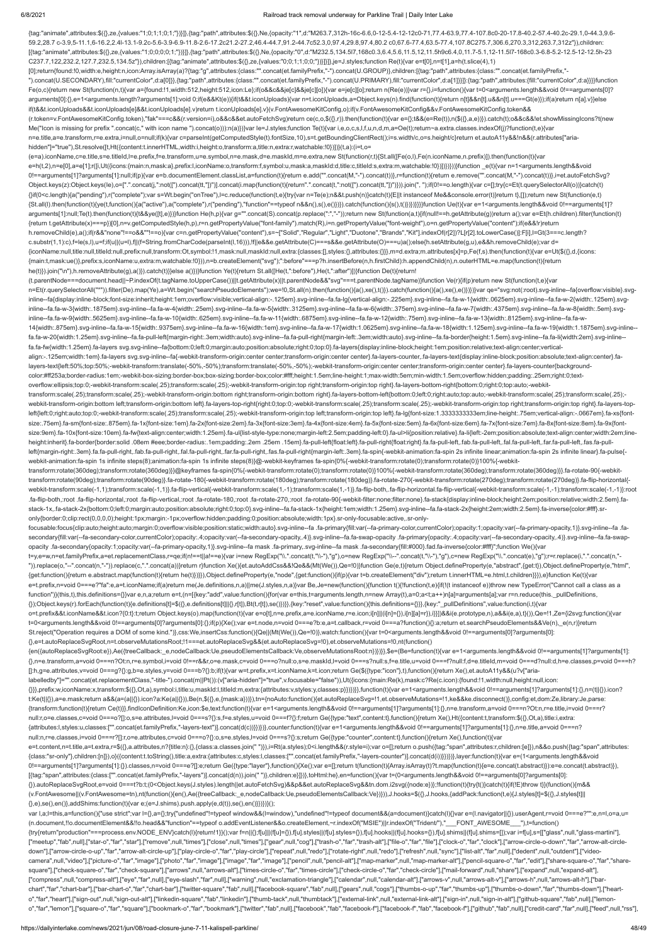### 6/8/2021 Railroad track removal underway for Parkline Trail | Daily Inter Lake

{transform:function(t){return Ce(t)}},findIconDefinition:Ke,icon:\$e,text:function(t){var e=1<arguments.length&&void 0!==arguments[1]?arguments[1]:{},n=e.transform,a=void 0===n?Ot:n,r=e.title,i=void 0===r? null:r,o=e.classes,c=void 0===o?[]:o,s=e.attributes,l=void 0===s?{}:s,f=e.styles,u=void 0===f?{}:f;return Ge({type:"text",content:t},function(){return Xe(),Ht({content:t,transform:\$({},Ot,a),title:i,extra: {attributes:l,styles:u,classes:["".concat(et.familyPrefix,"-layers-text")].concat(d(c))}})})},counter:function(t){var e=1<arguments.length&&void 0!==arguments[1]?arguments[1]:{},n=e.title,a=void 0===n? null:n,r=e.classes,i=void 0===r?[]:r,o=e.attributes,c=void 0===o?{}:o,s=e.styles,l=void 0===s?{}:s;return Ge({type:"counter",content:t},function(){return Xe(),function(t){var e=t.content,n=t.title,a=t.extra,r=\$({},a.attributes,n?{title:n}:{},{class:a.classes.join(" "}),i=Rt(a.styles);0<i.length&&(r.style=i);var o=[];return o.push({tag:"span",attributes:r,children:[e]}),n&&o.push({tag:"span",att {class:"sr-only"},children:[n]}),o}({content:t.toString(),title:a,extra:{attributes:c,styles:l,classes:["".concat(et.familyPrefix,"-layers-counter")].concat(d(i))}})})},layer:function(t){var e=(1<arguments.length&&void 0!==arguments[1]?arguments[1]:{}).classes,n=void 0===e?[]:e;return Ge({type:"layer"},function(){Xe();var e=[];return t(function(t){Array.isArray(t)?t.map(function(t){e=e.concat(t.abstract)}):e=e.concat(t.abstract)}),e=e.co [{tag:"span",attributes:{class:["".concat(et.familyPrefix,"-layers")].concat(d(n)).join(" ")},children:e}]})},toHtml:he},en=function(){var t=(0<arguments.length&&void 0!==arguments[0]?arguments[0]: {}).autoReplaceSvgRoot,e=void 0===t?b:t;(0<Object.keys(J.styles).length||et.autoFetchSvg)&&p&&et.autoReplaceSvg&&tn.dom.i2svg({node:e})};!function(t){try{t()}catch(t){if(!E)throw t}}(function(){m&& (v.FontAwesome||(v.FontAwesome=tn),nt(function(){en(),Ae({treeCallback:\_e,nodeCallback:Ue,pseudoElementsCallback:Ve})})),J.hooks=\$({},J.hooks,{addPack:function(t,e){J.styles[t]=\$({},J.styles[t]|| {},e),se(),en()},addShims:function(t){var e;(e=J.shims).push.apply(e,d(t)),se(),en()}})})}(); var l,a;l=this,a=function(){"use strict";var l={},a={};try{"undefined"!=typeof window&&(l=window),"undefined"!=typeof document&&(a=document)}catch(l){}var e=(l.navigator||{}).userAgent,r=void 0===e?"":e,n=l,o=a,u= (n.document,!!o.documentElement&&!!o.head&&"function"==typeof o.addEventListener&&o.createElement,~r.indexOf("MSIE")||r.indexOf("Trident/"),"\_\_\_FONT\_AWESOME\_\_\_"),t=function() {try{return"production"===process.env.NODE\_ENV}catch(l){return!1}}();var f=n||{};f[u]||(f[u]={}),f[u].styles||(f[u].shyles={}),f[u].hooks||(f[u].hooks={}),f[u].shims||(f[u].shims=[]);var i=f[u],s=[["glass",null,"glass-mart ["meetup","fab",null],["star-o","far","star"],["remove",null,"times"],["close",null,"times"],["gear",null,"toog"],["trash-o","far","trash-alt"],["file-o","far","falr","far","clock-o","far","clock"],["arrow-circle-o-down"," down"],["arrow-circle-o-up","far","arrow-alt-circle-up"],["play-circle-o","far","play-circle"],["repeat",null,"redo"],["rotate-right",null,"redo"],["refresh",null,"sync"],["list-alt","far","far","farl","farl","wideocamera",null,"video"],["picture-o","far","image"],["photo","far","image"],["image","far","image"],["pencil",null,"pencil",null,"map-marker",null,"map-marker-alt"],["pencil-square-o","far","edit"],["share-square-o","far","s square"],["check-square-o","far","check-square"],["arrows",null,"arrows-alt"],["times-circle-o","far","times-circle"],["check-circle-o","far","check-circle-o","far","check-circle-o","far","check-circle-o","far","check-circ ["compress",null,"compress-alt"],["eye","far",null],["eye-slash","far",null],["warning",null,"exclamation-triangle"],["calendar",null,"calendar-alt"],["arrows-v",null,"arrows-alt-v"],["arrows-h",null,"arrows-alt-h"],["barchart","far","chart-bar"],["bar-chart-o","far","chart-bar"],["twitter-square","fab",null],["facebook-square","fab",null],["gears",null,]"gears",null,"cogs"],["thumbs-o-up","far","thumbs-o-down","far","thumbs-o-down","far", o","far","heart"],["sign-out",null,"sign-out-alt"],["linkedin-square","fab","linkedin"],["thumb-tack",null,"thumbtack"],["external-link",null,"external-link-alt"],["sign-in",null,"sign-in-alt"],["github-square","fab",null] o","far","lemon"],["square-o","far","square"],["bookmark-o","far","bookmark"],["twitter","fab",null],["facebook","fab","fabbokhef"],["facebook-f","fab","fab","fab","fab","fab","fab","fab",null],["fecedit-card","far",null],

{tag:"animate",attributes:\$({},ze,{values:"1;0;1;1;0;1;"})}]},{tag:"path",attributes:\$({},Ne,{opacity:"1",d:"M263.7,312h-16c-6.6,0-12-5.4-12-12c0-71,77.4-63.9,77.4-107.8c0-20-17.8-40.2-57.4-40.2c-29.1,0-44.3,9.6- 59.2,28.7 c-3.9,5-11.1,6-16.2,2.4l-13.1-9.2c-5.6-3.9-6.9-11.8-2.6-17.2c21.2-27.2,46.4-44.7,91.2-44.7c52.3,0,97.4,29.8,97.4,80.2 c0,67.6-77.4,63.5-77.4,107.8C275.7,306.6,270.3,312,263.7,312z"}),children: [{tag:"animate",attributes:\$({},ze,{values:"1;0;0;0;0;1;"})}]},{tag:"path",attributes:\$({},Ne,{opacity:"0",d:"M232.5,134.5l7,168c0.3,6.4,5.6,11.5,12,11.5h9c6.4,0,11.7-5.1,12-11.5l7-168c0.3-6.8-5.2-12.5-12-12.5h-23 C237.7,122,232.2,127.7,232.5,134.5z"}),children:[{tag:"animate",attributes:\$({},ze,{values:"0;0;1;1;0;0;"})}]}]},je=J.styles;function Re(t){var e=t[0],n=t[1],a=h(t.slice(4),1) [0];return{found:!0,width:e,height:n,icon:Array.isArray(a)?{tag:"g",attributes:{class:"".concat(et.familyPrefix,"-").concat(U.GROUP)},children:[{tag:"path",attributes:{class:"".concat(et.familyPrefix,"- ").concat(U.SECONDARY),fill:"currentColor",d:a[0]}},{tag:"path",attributes:{class:"".concat(et.familyPrefix,"-").concat(U.PRIMARY),fill:"currentColor",d:a[1]}}]}:{tag:"path",attributes:{fill:"currentColor",d:a}}}}function Fe(o,c){return new St(function(n,t){var a={found:!1,width:512,height:512,icon:Le};if(o&&c&&je[c]&&je[c][o]){var e=je[c][o];return n(Re(e))}var r={},i=function(){var t=0<arguments.length&&void 0!==arguments[0]? arguments[0]:{},e=1<arguments.length?arguments[1]:void 0;if(e&&Kt(e)){if(t&&t.iconUploads){var n=t.iconUploads,a=Object.keys(n).find(function(t){return n[t]&&n[t].u&&n[t].u===Gt(e)});if(a)return n[a].v}}else if(t&&t.iconUploads&&t.iconUploads[e]&&t.iconUploads[e].v)return t.iconUploads[e].v}(v.FontAwesomeKitConfig,o);if(v.FontAwesomeKitConfig&&v.FontAwesomeKitConfig.token&& (r.token=v.FontAwesomeKitConfig.token),"fak"===c&&(r.version=i),o&&c&&et.autoFetchSvg)return ce(c,o,\$({},r)).then(function(t){var e={};t&&(e=Re(t)),n(\$({},a,e))}).catch(t);o&&c&&!et.showMissingIcons?t(new Me("Icon is missing for prefix ".concat(c," with icon name ").concat(o))):n(a)})}var le=J.styles;function Te(t){var i,e,o,c,s,l,f,u,n,d,m,a=Oe(t);return~a.extra.classes.indexOf(j)?function(t,e){var n=e.title,a=e.transform,r=e.extra,i=null,o=null;if(k){var c=parseInt(getComputedStyle(t).fontSize,10),s=t.getBoundingClientRect();i=s.width/c,o=s.height/c}return et.autoA11y&&!n&&(r.attributes["ariahidden"]="true"),St.resolve([t,Ht({content:t.innerHTML,width:i,height:o,transform:a,title:n,extra:r,watchable:!0})])}(t,a):(i=t,o= (e=a).iconName,c=e.title,s=e.titleId,l=e.prefix,f=e.transform,u=e.symbol,n=e.mask,d=e.maskId,m=e.extra,new St(function(r,t){St.all([Fe(o,l),Fe(n.iconName,n.prefix)]).then(function(t){var e=h(t,2),n=e[0],a=e[1];r([i,Ut({icons:{main:n,mask:a},prefix:l,iconName:o,transform:f,symbol:u,mask:a,maskId:d,title:c,titleId:s,extra:m,watchable:!0})])})}))}function \_e(t){var n=1<arguments.length&&void 0!==arguments[1]?arguments[1]:null;if(p){var e=b.documentElement.classList,a=function(t){return e.add("".concat(M,"-").concat(t))},r=function(t){return e.remove("".concat(M,"-").concat(t))},i=et.autoFetchSvg? Object.keys(z):Object.keys(le),o=[".".concat(j,":not([").concat(tt,"])")].concat(i.map(function(t){return".".concat(t,":not([").concat(tt,"])")}).join(", ");if(0!==o.length){var c=[];try{c=Et(t.querySelectorAll(o))}catch(t {}if(0<c.length){a("pending"),r("complete");var s=Wt.begin("onTree"),l=c.reduce(function(t,e){try{var n=Te(e);n&&t.push(n)}catch(t){E||t instanceof Me&&console.error(t)}return t},[]);return new St(function(e,t) {St.all(l).then(function(t){ye(t,function(){a("active"),a("complete"),r("pending"),"function"==typeof n&&n(),s(),e()})}).catch(function(){s(),t()})})}}}}function Ue(t){var e=1<arguments.length&&void 0!==arguments[1]? arguments[1]:null;Te(t).then(function(t){t&&ye([t],e)})}function He(h,p){var g="".concat(S).concat(p.replace(":","-"));return new St(function(a,t){if(null!==h.getAttribute(g))return a();var e=Et(h.children).filter(function {return t.getAttribute(x)===p})[0],n=v.getComputedStyle(h,p),r=n.getPropertyValue("font-family").match(R),i=n.getPropertyValue("font-weight"),o=n.getPropertyValue("content");if(e&&!r)return h.removeChild(e),a();if(r&&"none"!==o&&""!==o){var c=n.getPropertyValue("content"),s=~["Solid","Regular","Light","Duotone","Brands","Kit"].indexOf(r[2])?L[r[2].toLowerCase()]:F[i],l=Gt(3===c.length? c.substr(1,1):c),f=le(s,l),u=f;if(u||(u=l),f||(f=String.fromCharCode(parseInt(l,16))),!f||e&&e.getAttribute(C)===s&&e.getAttribute(O)===u)a();else{h.setAttribute(g,u),e&&h.removeChild(e);var d= {iconName:null,title:null,titleId:null,prefix:null,transform:Ot,symbol:!1,mask:null,maskId:null,extra:{classes:[],styles:{},attributes:{}}},m=d.extra;m.attributes[x]=p,Fe(f,s).then(function(t){var e=Ut(\$({},d,{icons: {main:t,mask:ue()},prefix:s,iconName:u,extra:m,watchable:!0})),n=b.createElement("svg");":before"===p?h.insertBefore(n,h.firstChild):h.appendChild(n),n.outerHTML=e.map(function(t){return he(t)}).join("\n"),h.removeAttribute(g),a()}).catch(t)}}else a()})}function Ye(t){return St.all([He(t,":before"),He(t,":after")])}function De(t){return! (t.parentNode===document.head||~P.indexOf(t.tagName.toUpperCase())||t.getAttribute(x)||t.parentNode&&"svg"===t.parentNode.tagName)}function Ve(r){if(p)return new St(function(t,e){var n=Et(r.querySelectorAll("\*")).filter(De).map(Ye),a=Wt.begin("searchPseudoElements");we=!0,St.all(n).then(function(){a(),xe(),t()}).catch(function(){a(),xe(),e()})}})var qe="svg:not(:root).svg-inline--fa{overflow:visible}.s inline--fa{display:inline-block;font-size:inherit;height:1em;overflow:visible;vertical-align:-.125em}.svg-inline--fa.fa-lg{vertical-align:-.225em}.svg-inline--fa.fa-w-1{width:.0625em}.svg-inline--fa.fa-w-2{width:.125em}.sv inline--fa.fa-w-3{width:.1875em}.svg-inline--fa.fa-w-4{width:.25em}.svg-inline--fa.fa-w-5{width:.3125em}.svg-inline--fa.fa-w-6{width:.375em}.svg-inline--fa.fa-w-7{width:.4375em}.svg-inline--fa.fa-w-8{width:.5em}.svg-inline inline--fa.fa-w-9{width:.5625em}.svg-inline--fa.fa-w-10{width:.625em}.svg-inline--fa.fa-w-11{width:.6875em}.svg-inline--fa.fa-w-12{width:.75em}.svg-inline--fa.fa-w-12{width:.75em}.svg-inline--fa.fa-w-13{width:.825em}.svg-i 14{width:.875em}.svg-inline--fa.fa-w-15{width:.9375em}.svg-inline--fa.fa-w-16{width:1em}.svg-inline--fa.fa-w-17{width:1.0625em}.svg-inline--fa.fa-w-18{width:1.125em}.svg-inline--fa.fa-w-19{width:1.1875em}.svg-inline- fa.fa-w-20{width:1.25em}.svg-inline--fa.fa-pull-left{margin-right:.3em;width:auto}.svg-inline--fa.fa-pull-right{margin-left:.3em;width:auto}.svg-inline--fa.fa-border{height:1.5em}.svg-inline--fa.fa-li{width:2em}.svg-inline- fa.fa-fw{width:1.25em}.fa-layers svg.svg-inline--fa{bottom:0;left:0;margin:auto;position:absolute;right:0;top:0}.fa-layers{display:inline-block;height:1em;position:relative;text-align:center;verticalalign:-.125em;width:1em}.fa-layers svg.svg-inline--fa{-webkit-transform-origin:center center;transform-origin:center center}.fa-layers-counter,.fa-layers-text{display:inline-block;position:absolute;text-align:center}.falayers-text{left:50%;top:50%;-webkit-transform:translate(-50%,-50%);transform:translate(-50%,-50%);-webkit-transform-origin:center center;transform-origin:center center}.fa-layers-counter{backgroundcolor:#ff253a;border-radius:1em;-webkit-box-sizing:border-box;box-sizing:border-box;color:#fff;height:1.5em;line-height:1;max-width:5em;min-width:1.5em;overflow:hidden;padding:.25em;right:0;textoverflow:ellipsis;top:0;-webkit-transform:scale(.25);transform:scale(.25);-webkit-transform-origin:top right;transform-origin:top right}.fa-layers-bottom-right{bottom:0;right:0;top:auto;-webkittransform:scale(.25);transform:scale(.25);-webkit-transform-origin:bottom right;transform-origin:bottom right}.fa-layers-bottom-left{bottom:0;left:0;right:auto;top:auto;-webkit-transform:scale(.25);transform:scale(.25); webkit-transform-origin:bottom left;transform-origin:bottom left}.fa-layers-top-right{right:0;top:0;-webkit-transform:scale(.25);transform:scale(.25);-webkit-transform-origin:top right;transform-origin:top right}.fa-layers left{left:0;right:auto;top:0;-webkit-transform:scale(.25);transform:scale(.25);-webkit-transform-origin:top left;transform-origin:top left}.fa-lg{font-size:1.3333333333em;line-height:.75em;vertical-align:-.0667em}.fa-xs{fontsize:.75em}.fa-sm{font-size:.875em}.fa-1x{font-size:1em}.fa-2x{font-size:2em}.fa-3x{font-size:3em}.fa-4x{font-size:4em}.fa-5x{font-size:5em}.fa-6x{font-size:6em}.fa-6x{font-size:6em}.fa-6x{font-size:6em}.fa-6x{font-size:6e size:9em}.fa-10x{font-size:10em}.fa-fw{text-align:center;width:1.25em}.fa-ul{list-style-type:none;margin-left:2.5em;padding-left:0}.fa-ul>li{position:relative}.fa-li{left:-2em;position:absolute;text-align:center;width:2em; height:inherit}.fa-border{border:solid .08em #eee;border-radius:.1em;padding:.2em .25em .15em}.fa-pull-left{float:left}.fa-pull-right{float:right}.fa.fa-pull-left,.fab.fa-pull-left,.fab.fa-pull-left,.far.fa-pull-left,.far. left{margin-right:.3em}.fa.fa-pull-right,.fab.fa-pull-right,.fal.fa-pull-right,.fal.fa-pull-right,.far.fa-pull-right,.far.fa-pull-right,.fas.fa-pull-right(nargin-left:.3em}.fa-spin{-webkit-animation:fa-spin 2s infinite lin webkit-animation:fa-spin 1s infinite steps(8);animation:fa-spin 1s infinite steps(8)}@-webkit-keyframes fa-spin{0%{-webkit-transform:rotate(0);transform:rotate(0)}100%{-webkittransform:rotate(360deg);transform:rotate(360deg)}}@keyframes fa-spin{0%{-webkit-transform:rotate(0);transform:rotate(0)}100%{-webkit-transform:rotate(360deg);transform:rotate(360deg)}}.fa-rotate-90{-webkittransform:rotate(90deg);transform:rotate(90deg)}.fa-rotate-180{-webkit-transform:rotate(180deg);transform:rotate(180deg)}.fa-rotate-270{-webkit-transform:rotate(270deg);transform:rotate(270deg)}.fa-flip-horizontal{ webkit-transform:scale(-1,1);transform:scale(-1,1)}.fa-flip-vertical{-webkit-transform:scale(1,-1);transform:scale(1,-1)}.fa-flip-both,.fa-flip-both,da-flip-horizontal.fa-flip-vertical{-webkit-transform:scale(-1,-1)}:root .fa-flip-both,:root .fa-flip-horizontal,:root .fa-flip-vertical,:root .fa-rotate-180,:root .fa-rotate-270,:root .fa-rotate-90{-webkit-filter:none;filter:none}.fa-stack{display:inline-block;height:2em;position:relative;widt stack-1x,.fa-stack-2x{bottom:0;left:0;margin:auto;position:absolute;right:0;top:0}.svg-inline--fa.fa-stack-1x{height:1em;width:1.25em}.svg-inline--fa.fa-stack-2x{height:2em;width:2.5em}.fa-inverse{color:#fff}.sronly{border:0;clip:rect(0,0,0,0);height:1px;margin:-1px;overflow:hidden;padding:0;position:absolute;width:1px}.sr-only-focusable:active,.sr-onlyfocusable:focus{clip:auto;height:auto;margin:0;overflow:visible;position:static;width:auto}.svg-inline--fa .fa-primary{fill:var(--fa-primary-color,currentColor);opacity:1;opacity:1-ra-primary-opacity,1)}.svg-inline--fa .fa secondary{fill:var(--fa-secondary-color,currentColor);opacity:.4;opacity:var(--fa-secondary-opacity,.4)}.svg-inline--fa.fa-swap-opacity .fa-primary{opacity:.4;opacity:.4;opacity-ra-secondary-opacity,.4)}.svg-inline--fa.faopacity .fa-secondary{opacity:1;opacity:var(--fa-primary-opacity,1)}.svg-inline--fa mask .fa-primary,.svg-inline--fa mask .fa-secondary{fill:#000}.fad.fa-inverse{color:#fff}";function We(){var t=y,e=w,n=et.familyPrefix,a=et.replacementClass,r=qe;if(n!==t||a!==e){var i=new RegExp("\\.".concat(t,"\\-"),"g"),o=new RegExp("\\--".concat(t,"\\-"),"g"),c=new RegExp("\\.".concat(e),"g");r=r.replace(i,".".concat(n,"- ")).replace(o,"--".concat(n,"-")).replace(c,".".concat(a))}return r}function Xe(){et.autoAddCss&&!Qe&&(Mt(We()),Qe=!0)}function Ge(e,t){return Object.defineProperty(e,"abstract",{get:t}),Object.defineProperty(e,"html", {get:function(){return e.abstract.map(function(t){return he(t)})}}),Object.defineProperty(e,"node",{get:function(){if(p){var t=b.createElement("div");return t.innerHTML=e.html,t.children}}}),e}function Ke(t){var e=t.prefix,n=void 0===e?"fa":e,a=t.iconName;if(a)return me(Je.definitions,n,a)||me(J.styles,n,a)}var Be,Je=new(function(){function t(){!function(t,e){if(!(t instanceof e))throw new TypeError("Cannot call a class as a function")}(this,t),this.definitions={}}var e,n,a;return e=t,(n=[{key:"add",value:function(){for(var e=this,t=arguments.length,n=new Array(t),a=0;a<t;a++)n[a]=arguments[a];var r=n.reduce(this.\_pullDefinitions, {});Object.keys(r).forEach(function(t){e.definitions[t]=\$({},e.definitions[t]||{},r[t]),Bt(t,r[t]),se()})}},{key:"reset",value:function(){this.definitions={}}},{key:"\_pullDefinitions",value:function(i,t){var o=t.prefix&&t.iconName&&t.icon?{0:t}:t;return Object.keys(o).map(function(t){var e=o[t],n=e.prefix,a=e.iconName,r=e.icon;i[n]||(i[n]={}),i[n][a]=r}),i}}])&&i(e.prototype,n),a&&i(e,a),t}()),Qe=!1,Ze={i2svg:function(){var t=0<arguments.length&&void 0!==arguments[0]?arguments[0]:{};if(p){Xe();var e=t.node,n=void 0===e?b:e,a=t.callback,r=void 0===a?function(){}:a;return et.searchPseudoElements&&Ve(n),\_e(n,r)}return St.reject("Operation requires a DOM of some kind.")},css:We,insertCss:function(){Qe||(Mt(We()),Qe=!0)},watch:function(){var t=0<arguments.length&&void 0!==arguments[0]?arguments[0]: {},e=t.autoReplaceSvgRoot,n=t.observeMutationsRoot;!1===et.autoReplaceSvg&&(et.autoReplaceSvg=!0),et.observeMutations=!0,nt(function() {en({autoReplaceSvgRoot:e}),Ae({treeCallback:\_e,nodeCallback:Ue,pseudoElementsCallback:Ve,observeMutationsRoot:n})})}},\$e=(Be=function(t){var e=1<arguments.length&&void 0!==arguments[1]?arguments[1]: {},n=e.transform,a=void 0===n?Ot:n,r=e.symbol,i=void 0!==r&&r,o=e.mask,c=void 0===o?null:o,s=e.maskId,l=void 0===s?null:s,f=e.title,u=void 0===f?null:f,d=e.titleId,m=void 0===d?null:d,h=e.classes,p=void 0===h? []:h,g=e.attributes,v=void 0===g?{}:g,b=e.styles,y=void 0===b?{}:b;if(t){var w=t.prefix,x=t.iconName,k=t.icon;return Ge(\$({type:"icon"},t),function(){return Xe(),et.autoA11y&&(u?v["arialabelledby"]="".concat(et.replacementClass,"-title-").concat(m||Pt()):(v["aria-hidden"]="true",v.focusable="false")),Ut({icons:{main:Re(k),mask:c?Re(c.icon):{found:!1,width:null,height:null,icon: {}}},prefix:w,iconName:x,transform:\$({},Ot,a),symbol:i,title:u,maskId:l,titleId:m,extra:{attributes:v,styles:y,classes:p}})})}},function(t){var e=1<arguments.length&&void 0!==arguments[1]?arguments[1]:{},n=(t||{}).icon? t:Ke(t||{}),a=e.mask;return a&&(a=(a||{}).icon?a:Ke(a||{})),Be(n,\$({},e,{mask:a}))}),tn={noAuto:function(){et.autoReplaceSvg=!1,et.observeMutations=!1,ke&&ke.disconnect()},config:et,dom:Ze,library:Je,parse: